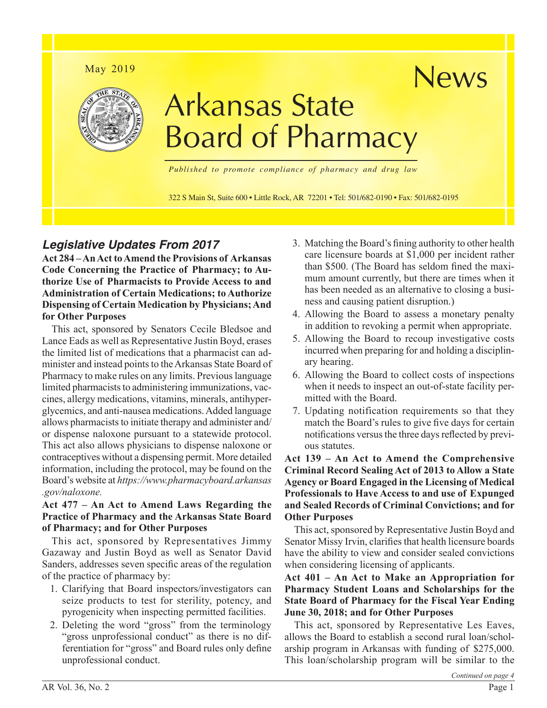

# *Legislative Updates From 2017*

**Act 284 – An Act to Amend the Provisions of Arkansas Code Concerning the Practice of Pharmacy; to Authorize Use of Pharmacists to Provide Access to and Administration of Certain Medications; to Authorize Dispensing of Certain Medication by Physicians; And for Other Purposes**

This act, sponsored by Senators Cecile Bledsoe and Lance Eads as well as Representative Justin Boyd, erases the limited list of medications that a pharmacist can administer and instead points to the Arkansas State Board of Pharmacy to make rules on any limits. Previous language limited pharmacists to administering immunizations, vaccines, allergy medications, vitamins, minerals, antihyperglycemics, and anti-nausea medications. Added language allows pharmacists to initiate therapy and administer and/ or dispense naloxone pursuant to a statewide protocol. This act also allows physicians to dispense naloxone or contraceptives without a dispensing permit. More detailed information, including the protocol, may be found on the Board's website at *[https://www.pharmacyboard.arkansas](https://www.pharmacyboard.arkansas.gov/naloxone) [.gov/naloxone.](https://www.pharmacyboard.arkansas.gov/naloxone)*

### **Act 477 – An Act to Amend Laws Regarding the Practice of Pharmacy and the Arkansas State Board of Pharmacy; and for Other Purposes**

This act, sponsored by Representatives Jimmy Gazaway and Justin Boyd as well as Senator David Sanders, addresses seven specific areas of the regulation of the practice of pharmacy by:

- 1. Clarifying that Board inspectors/investigators can seize products to test for sterility, potency, and pyrogenicity when inspecting permitted facilities.
- 2. Deleting the word "gross" from the terminology "gross unprofessional conduct" as there is no differentiation for "gross" and Board rules only define unprofessional conduct.
- 3. Matching the Board's fining authority to other health care licensure boards at \$1,000 per incident rather than \$500. (The Board has seldom fined the maximum amount currently, but there are times when it has been needed as an alternative to closing a business and causing patient disruption.)
- 4. Allowing the Board to assess a monetary penalty in addition to revoking a permit when appropriate.
- 5. Allowing the Board to recoup investigative costs incurred when preparing for and holding a disciplinary hearing.
- 6. Allowing the Board to collect costs of inspections when it needs to inspect an out-of-state facility permitted with the Board.
- 7. Updating notification requirements so that they match the Board's rules to give five days for certain notifications versus the three days reflected by previous statutes.

**Act 139 – An Act to Amend the Comprehensive Criminal Record Sealing Act of 2013 to Allow a State Agency or Board Engaged in the Licensing of Medical Professionals to Have Access to and use of Expunged and Sealed Records of Criminal Convictions; and for Other Purposes**

This act, sponsored by Representative Justin Boyd and Senator Missy Irvin, clarifies that health licensure boards have the ability to view and consider sealed convictions when considering licensing of applicants.

### **Act 401 – An Act to Make an Appropriation for Pharmacy Student Loans and Scholarships for the State Board of Pharmacy for the Fiscal Year Ending June 30, 2018; and for Other Purposes**

This act, sponsored by Representative Les Eaves, allows the Board to establish a second rural loan/scholarship program in Arkansas with funding of \$275,000. This loan/scholarship program will be similar to the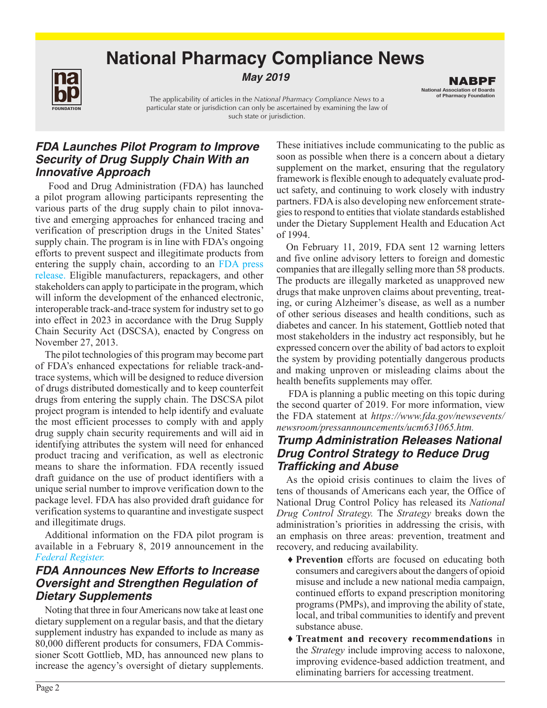# **National Pharmacy Compliance News**



**May** *2019*

The applicability of articles in the *National Pharmacy Compliance News* to a particular state or jurisdiction can only be ascertained by examining the law of such state or jurisdiction.

National Association of Boards of Pharmacy Foundation NABPF

# *FDA Launches Pilot Program to Improve Security of Drug Supply Chain With an Innovative Approach*

 Food and Drug Administration (FDA) has launched a pilot program allowing participants representing the various parts of the drug supply chain to pilot innovative and emerging approaches for enhanced tracing and verification of prescription drugs in the United States' supply chain. The program is in line with FDA's ongoing efforts to prevent suspect and illegitimate products from entering the supply chain, according to an [FDA press](https://www.fda.gov/NewsEvents/Newsroom/PressAnnouncements/ucm630942.htm)  [release.](https://www.fda.gov/NewsEvents/Newsroom/PressAnnouncements/ucm630942.htm) Eligible manufacturers, repackagers, and other stakeholders can apply to participate in the program, which will inform the development of the enhanced electronic, interoperable track-and-trace system for industry set to go into effect in 2023 in accordance with the Drug Supply Chain Security Act (DSCSA), enacted by Congress on November 27, 2013.

The pilot technologies of this program may become part of FDA's enhanced expectations for reliable track-andtrace systems, which will be designed to reduce diversion of drugs distributed domestically and to keep counterfeit drugs from entering the supply chain. The DSCSA pilot project program is intended to help identify and evaluate the most efficient processes to comply with and apply drug supply chain security requirements and will aid in identifying attributes the system will need for enhanced product tracing and verification, as well as electronic means to share the information. FDA recently issued draft guidance on the use of product identifiers with a unique serial number to improve verification down to the package level. FDA has also provided draft guidance for verification systems to quarantine and investigate suspect and illegitimate drugs.

Additional information on the FDA pilot program is available in a February 8, 2019 announcement in the *[Federal Register.](https://www.federalregister.gov/documents/2019/02/08/2019-01561/pilot-project-program-under-the-drug-supply-chain-security-act-program-announcement)*

# *FDA Announces New Efforts to Increase Oversight and Strengthen Regulation of Dietary Supplements*

Noting that three in four Americans now take at least one dietary supplement on a regular basis, and that the dietary supplement industry has expanded to include as many as 80,000 different products for consumers, FDA Commissioner Scott Gottlieb, MD, has announced new plans to increase the agency's oversight of dietary supplements.

These initiatives include communicating to the public as soon as possible when there is a concern about a dietary supplement on the market, ensuring that the regulatory framework is flexible enough to adequately evaluate product safety, and continuing to work closely with industry partners. FDA is also developing new enforcement strategies to respond to entities that violate standards established under the Dietary Supplement Health and Education Act of 1994.

On February 11, 2019, FDA sent 12 warning letters and five online advisory letters to foreign and domestic companies that are illegally selling more than 58 products. The products are illegally marketed as unapproved new drugs that make unproven claims about preventing, treating, or curing Alzheimer's disease, as well as a number of other serious diseases and health conditions, such as diabetes and cancer. In his statement, Gottlieb noted that most stakeholders in the industry act responsibly, but he expressed concern over the ability of bad actors to exploit the system by providing potentially dangerous products and making unproven or misleading claims about the health benefits supplements may offer.

 FDA is planning a public meeting on this topic during the second quarter of 2019. For more information, view the FDA statement at *[https://www.fda.gov/newsevents/](https://www.fda.gov/newsevents/newsroom/pressannouncements/ucm631065.htm) [newsroom/pressannouncements/ucm631065.htm.](https://www.fda.gov/newsevents/newsroom/pressannouncements/ucm631065.htm)* 

# *Trump Administration Releases National Drug Control Strategy to Reduce Drug Trafficking and Abuse*

As the opioid crisis continues to claim the lives of tens of thousands of Americans each year, the Office of National Drug Control Policy has released its *National Drug Control Strategy.* The *Strategy* breaks down the administration's priorities in addressing the crisis, with an emphasis on three areas: prevention, treatment and recovery, and reducing availability.

- ♦ **Prevention** efforts are focused on educating both consumers and caregivers about the dangers of opioid misuse and include a new national media campaign, continued efforts to expand prescription monitoring programs (PMPs), and improving the ability of state, local, and tribal communities to identify and prevent substance abuse.
- ♦ **Treatment and recovery recommendations** in the *Strategy* include improving access to naloxone, improving evidence-based addiction treatment, and eliminating barriers for accessing treatment.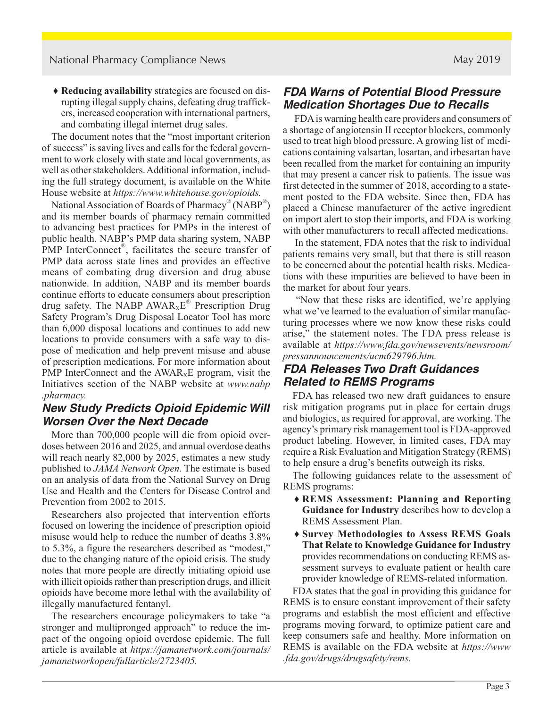♦ **Reducing availability** strategies are focused on disrupting illegal supply chains, defeating drug traffickers, increased cooperation with international partners, and combating illegal internet drug sales.

The document notes that the "most important criterion of success" is saving lives and calls for the federal government to work closely with state and local governments, as well as other stakeholders. Additional information, including the full strategy document, is available on the White House website at *[https://www.whitehouse.gov/opioids.](https://www.whitehouse.gov/opioids/)*

National Association of Boards of Pharmacy<sup>®</sup> (NABP<sup>®</sup>) and its member boards of pharmacy remain committed to advancing best practices for PMPs in the interest of public health. NABP's PMP data sharing system, NABP PMP InterConnect<sup>®</sup>, facilitates the secure transfer of PMP data across state lines and provides an effective means of combating drug diversion and drug abuse nationwide. In addition, NABP and its member boards continue efforts to educate consumers about prescription drug safety. The NABP  $AWAR_XE^*$  Prescription Drug Safety Program's Drug Disposal Locator Tool has more than 6,000 disposal locations and continues to add new locations to provide consumers with a safe way to dispose of medication and help prevent misuse and abuse of prescription medications. For more information about PMP InterConnect and the  $AWAR_xE$  program, visit the Initiatives section of the NABP website at *[www.nabp](https://nabp.pharmacy/) [.pharmacy.](https://nabp.pharmacy/)*

# *New Study Predicts Opioid Epidemic Will Worsen Over the Next Decade*

More than 700,000 people will die from opioid overdoses between 2016 and 2025, and annual overdose deaths will reach nearly 82,000 by 2025, estimates a new study published to *JAMA Network Open.* The estimate is based on an analysis of data from the National Survey on Drug Use and Health and the Centers for Disease Control and Prevention from 2002 to 2015.

Researchers also projected that intervention efforts focused on lowering the incidence of prescription opioid misuse would help to reduce the number of deaths 3.8% to 5.3%, a figure the researchers described as "modest," due to the changing nature of the opioid crisis. The study notes that more people are directly initiating opioid use with illicit opioids rather than prescription drugs, and illicit opioids have become more lethal with the availability of illegally manufactured fentanyl.

The researchers encourage policymakers to take "a stronger and multipronged approach" to reduce the impact of the ongoing opioid overdose epidemic. The full article is available at *[https://jamanetwork.com/journals/](https://jamanetwork.com/journals/jamanetworkopen/fullarticle/2723405) [jamanetworkopen/fullarticle/2723405.](https://jamanetwork.com/journals/jamanetworkopen/fullarticle/2723405)*

# *FDA Warns of Potential Blood Pressure Medication Shortages Due to Recalls*

 FDA is warning health care providers and consumers of a shortage of angiotensin II receptor blockers, commonly used to treat high blood pressure. A growing list of medications containing valsartan, losartan, and irbesartan have been recalled from the market for containing an impurity that may present a cancer risk to patients. The issue was first detected in the summer of 2018, according to a statement posted to the FDA website. Since then, FDA has placed a Chinese manufacturer of the active ingredient on import alert to stop their imports, and FDA is working with other manufacturers to recall affected medications.

 In the statement, FDA notes that the risk to individual patients remains very small, but that there is still reason to be concerned about the potential health risks. Medications with these impurities are believed to have been in the market for about four years.

 "Now that these risks are identified, we're applying what we've learned to the evaluation of similar manufacturing processes where we now know these risks could arise," the statement notes. The FDA press release is available at *[https://www.fda.gov/newsevents/newsroom/](https://www.fda.gov/newsevents/newsroom/pressannouncements/ucm629796.htm) [pressannouncements/ucm629796.htm.](https://www.fda.gov/newsevents/newsroom/pressannouncements/ucm629796.htm)* 

# *FDA Releases Two Draft Guidances Related to REMS Programs*

FDA has released two new draft guidances to ensure risk mitigation programs put in place for certain drugs and biologics, as required for approval, are working. The agency's primary risk management tool is FDA-approved product labeling. However, in limited cases, FDA may require a Risk Evaluation and Mitigation Strategy (REMS) to help ensure a drug's benefits outweigh its risks.

The following guidances relate to the assessment of REMS programs:

- ♦ **REMS Assessment: Planning and Reporting Guidance for Industry** describes how to develop a REMS Assessment Plan.
- ♦ **Survey Methodologies to Assess REMS Goals That Relate to Knowledge Guidance for Industry** provides recommendations on conducting REMS assessment surveys to evaluate patient or health care provider knowledge of REMS-related information.

FDA states that the goal in providing this guidance for REMS is to ensure constant improvement of their safety programs and establish the most efficient and effective programs moving forward, to optimize patient care and keep consumers safe and healthy. More information on REMS is available on the FDA website at *[https://www](https://www.fda.gov/Drugs/DrugSafety/REMS/default.htm) [.fda.gov/drugs/drugsafety/rems.](https://www.fda.gov/Drugs/DrugSafety/REMS/default.htm)*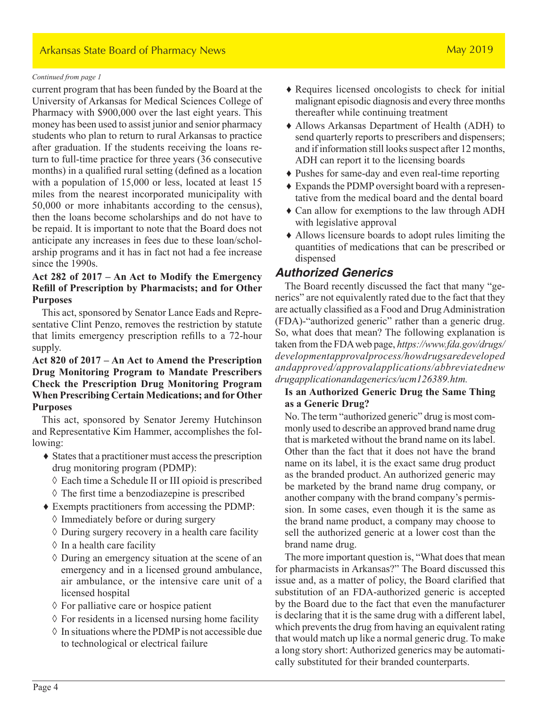### Arkansas State Board of Pharmacy News May 2019

#### *Continued from page 1*

current program that has been funded by the Board at the University of Arkansas for Medical Sciences College of Pharmacy with \$900,000 over the last eight years. This money has been used to assist junior and senior pharmacy students who plan to return to rural Arkansas to practice after graduation. If the students receiving the loans return to full-time practice for three years (36 consecutive months) in a qualified rural setting (defined as a location with a population of 15,000 or less, located at least 15 miles from the nearest incorporated municipality with 50,000 or more inhabitants according to the census), then the loans become scholarships and do not have to be repaid. It is important to note that the Board does not anticipate any increases in fees due to these loan/scholarship programs and it has in fact not had a fee increase since the 1990s.

### **Act 282 of 2017 – An Act to Modify the Emergency Refill of Prescription by Pharmacists; and for Other Purposes**

This act, sponsored by Senator Lance Eads and Representative Clint Penzo, removes the restriction by statute that limits emergency prescription refills to a 72-hour supply.

### **Act 820 of 2017 – An Act to Amend the Prescription Drug Monitoring Program to Mandate Prescribers Check the Prescription Drug Monitoring Program When Prescribing Certain Medications; and for Other Purposes**

This act, sponsored by Senator Jeremy Hutchinson and Representative Kim Hammer, accomplishes the following:

- ♦ States that a practitioner must access the prescription drug monitoring program (PDMP):
	- ◊ Each time a Schedule II or III opioid is prescribed
	- ◊ The first time a benzodiazepine is prescribed
- ♦ Exempts practitioners from accessing the PDMP:
	- ◊ Immediately before or during surgery
	- $\Diamond$  During surgery recovery in a health care facility
	- $\Diamond$  In a health care facility
	- $\Diamond$  During an emergency situation at the scene of an emergency and in a licensed ground ambulance, air ambulance, or the intensive care unit of a licensed hospital
	- ◊ For palliative care or hospice patient
	- $\Diamond$  For residents in a licensed nursing home facility
	- $\Diamond$  In situations where the PDMP is not accessible due to technological or electrical failure
- ♦ Requires licensed oncologists to check for initial malignant episodic diagnosis and every three months thereafter while continuing treatment
- ♦ Allows Arkansas Department of Health (ADH) to send quarterly reports to prescribers and dispensers; and if information still looks suspect after 12 months, ADH can report it to the licensing boards
- ♦ Pushes for same-day and even real-time reporting
- ♦ Expands the PDMP oversight board with a representative from the medical board and the dental board
- ♦ Can allow for exemptions to the law through ADH with legislative approval
- ♦ Allows licensure boards to adopt rules limiting the quantities of medications that can be prescribed or dispensed

# *Authorized Generics*

The Board recently discussed the fact that many "generics" are not equivalently rated due to the fact that they are actually classified as a Food and Drug Administration (FDA)-"authorized generic" rather than a generic drug. So, what does that mean? The following explanation is taken from the FDA web page, *[https://www.fda.gov/drugs/](https://www.fda.gov/drugs/abbreviated-new-drug-application-anda/fda-list-authorized-generic-drugs) [developmentapprovalprocess/howdrugsaredeveloped](https://www.fda.gov/drugs/abbreviated-new-drug-application-anda/fda-list-authorized-generic-drugs) andapproved/approvalapplications/abbreviatednew drugapplicationandagenerics/ucm126389.htm.*

### **Is an Authorized Generic Drug the Same Thing as a Generic Drug?**

No. The term "authorized generic" drug is most commonly used to describe an approved brand name drug that is marketed without the brand name on its label. Other than the fact that it does not have the brand name on its label, it is the exact same drug product as the branded product. An authorized generic may be marketed by the brand name drug company, or another company with the brand company's permission. In some cases, even though it is the same as the brand name product, a company may choose to sell the authorized generic at a lower cost than the brand name drug.

The more important question is, "What does that mean for pharmacists in Arkansas?" The Board discussed this issue and, as a matter of policy, the Board clarified that substitution of an FDA-authorized generic is accepted by the Board due to the fact that even the manufacturer is declaring that it is the same drug with a different label, which prevents the drug from having an equivalent rating that would match up like a normal generic drug. To make a long story short: Authorized generics may be automatically substituted for their branded counterparts.